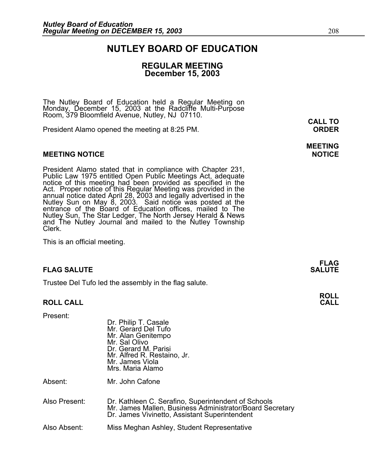## **NUTLEY BOARD OF EDUCATION**

#### **REGULAR MEETING December 15, 2003**

The Nutley Board of Education held a Regular Meeting on Monday, December 15, 2003 at the Radcliffe Multi-Purpose Room, 379 Bloomfield Avenue, Nutley, NJ 07110.

President Alamo opened the meeting at 8:25 PM. **ORDER**

#### **MEETING NOTICE NOTICE AND INCLUSION CONTROL**

President Alamo stated that in compliance with Chapter 231,<br>Public Law 1975 entitled Open Public Meetings Act, adequate<br>notice of this meeting had been provided as specified in the<br>Act. Proper notice of this Regular Meetin annual notice dated April 28, 2003 and legally advertised in the<br>Nutley Sun on May 8, 2003. Said notice was posted at the<br>entrance of the Board of Education offices, mailed to The entrance of the Board of Education offices, mailed to The Nutley Sun, The Star Ledger, The North Jersey Herald & News and The Nutley Journal and mailed to the Nutley Township Clerk.

This is an official meeting.

#### **FLAG SALUTE** SALUTE SALUTE SALUTE SALUTE SALUTE

Trustee Del Tufo led the assembly in the flag salute.

#### **ROLL CALL CALL**

Present:

Dr. Philip T. Casale Mr. Gerard Del Tufo Mr. Alan Genitempo Mr. Sal Olivo Dr. Gerard M. Parisi Mr. Alfred R. Restaino, Jr. Mr. James Viola Mrs. Maria Alamo

Absent: Mr. John Cafone

Also Present: Dr. Kathleen C. Serafino, Superintendent of Schools Mr. James Mallen, Business Administrator/Board Secretary Dr. James Vivinetto, Assistant Superintendent

Also Absent: Miss Meghan Ashley, Student Representative

# **MEETING**

**FLAG** 

# **ROLL**

**CALL TO**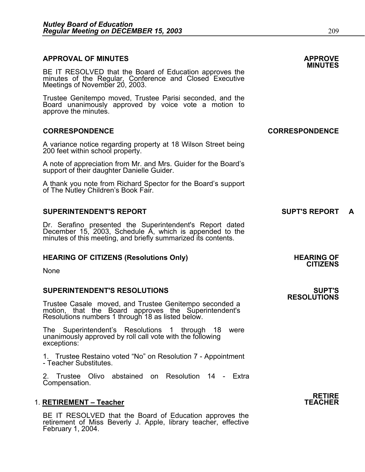## **APPROVAL OF MINUTES APPROVE**

**MINUTES** BE IT RESOLVED that the Board of Education approves the minutes of the Regular, Conference and Closed Executive Meetings of November 20, 2003.

Trustee Genitempo moved, Trustee Parisi seconded, and the Board unanimously approved by voice vote a motion to approve the minutes.

#### **CORRESPONDENCE CORRESPONDENCE**

A variance notice regarding property at 18 Wilson Street being 200 feet within school property.

A note of appreciation from Mr. and Mrs. Guider for the Board's support of their daughter Danielle Guider.

A thank you note from Richard Spector for the Board's support of The Nutley Children's Book Fair.

#### **SUPERINTENDENT'S REPORT A SUPT'S REPORT A**

Dr. Serafino presented the Superintendent's Report dated December 15, 2003, Schedule A, which is appended to the<br>minutes of this meeting, and briefly summarized its contents.

#### **HEARING OF CITIZENS (Resolutions Only) THEARING OF STATE AND REARING OF STATE AND REARING OF**

None

#### **SUPERINTENDENT'S RESOLUTIONS SUPT'S**

Trustee Casale moved, and Trustee Genitempo seconded a motion, that the Board approves the Superintendent's Resolutions numbers 1 through 18 as listed below.

The Superintendent's Resolutions 1 through 18 were unanimously approved by roll call vote with the following exceptions:

1. Trustee Restaino voted "No" on Resolution 7 - Appointment - Teacher Substitutes.

2. Trustee Olivo abstained on Resolution 14 - Extra Compensation.

#### 1. **RETIREMENT - Teacher**

BE IT RESOLVED that the Board of Education approves the retirement of Miss Beverly J. Apple, library teacher, effective February 1, 2004. **RESOLUTIONS** 

**RETIRE**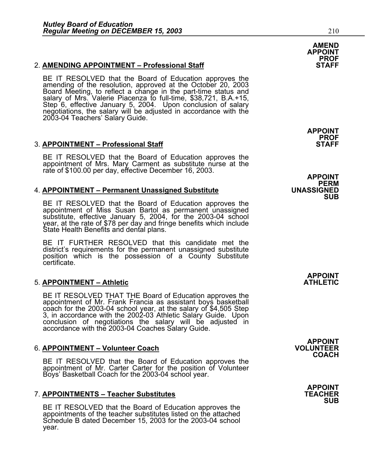#### 2. **AMENDING APPOINTMENT – Professional Staff**

BE IT RESOLVED that the Board of Education approves the amending of the resolution, approved at the October 20, 2003 Board Meeting, to reflect a change in the part-time status and salary of Mrs. Valerie Piacenza to full-time, \$38,721, B.A.+15, Step 6, effective January 5, 2004. Upon conclusion of salary negotiations, the salary will be adjusted in accordance with the 2003-04 Teachers' Salary Guide.

#### **3. APPOINTMENT – Professional Staff**

BE IT RESOLVED that the Board of Education approves the appointment of Mrs. Mary Carment as substitute nurse at the<br>rate of \$100.00 per day, effective December 16, 2003.

#### 4. **APPOINTMENT – Permanent Unassigned Substitute**

BE IT RESOLVED that the Board of Education approves the appointment of Miss Susan Bartol as permanent unassigned<br>substitute, effective January 5, 2004, for the 2003-04 school year, at the rate of \$78 per day and fringe benefits which include State Health Benefits and dental plans.

BE IT FURTHER RESOLVED that this candidate met the district's requirements for the permanent unassigned substitute position which is the possession of a County Substitute certificate.

#### **5. APPOINTMENT – Athletic**

BE IT RESOLVED THAT THE Board of Education approves the appointment of Mr. Frank Francia as assistant boys basketball 3, in accordance with the 2002-03 Athletic Salary Guide. Upon conclusion of negotiations the salary will be adjusted in accordance with the 2003-04 Coaches Salary Guide.

#### 6. **APPOINTMENT - Volunteer Coach**

BE IT RESOLVED that the Board of Education approves the appointment of Mr. Carter Carter for the position of Volunteer Boys' Basketball Coach for the 2003-04 school year.

#### **7. APPOINTMENTS – Teacher Substitutes**

BE IT RESOLVED that the Board of Education approves the appointments of the teacher substitutes listed on the attached Schedule B dated December 15, 2003 for the 2003-04 school year.

**AMEND APPOINT PROF** 

**APPOINT PROF** 

**APPOINT PERM<br>UNASSIGNED SUB** 

**APPOINT** 

**APPOINT COACH** 

> **APPOINT SUB**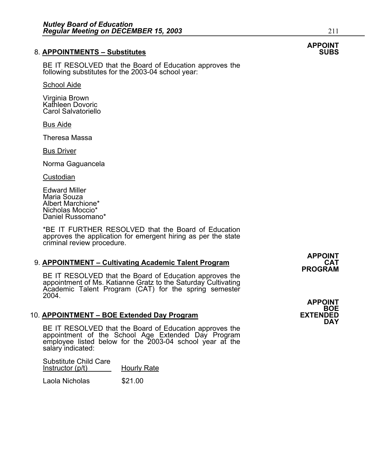#### 8. **APPOINTMENTS - Substitutes**

BE IT RESOLVED that the Board of Education approves the following substitutes for the 2003-04 school year:

School Aide

Virginia Brown Kathleen Dovoric Carol Salvatoriello

Bus Aide

Theresa Massa

Bus Driver

Norma Gaguancela

**Custodian** 

Edward Miller Maria Souza Albert Marchione\* Nicholas Moccio\* Daniel Russomano\*

\*BE IT FURTHER RESOLVED that the Board of Education approves the application for emergent hiring as per the state criminal review procedure.

#### 9. **APPOINTMENT – Cultivating Academic Talent Program**

BE IT RESOLVED that the Board of Education approves the appointment of Ms. Katianne Gratz to the Saturday Cultivating Academic Talent Program (CAT) for the spring semester 2004.

#### 10. **APPOINTMENT – BOE Extended Day Program**

BE IT RESOLVED that the Board of Education approves the appointment of the School Age Extended Day Program employee listed below for the 2003-04 school year at the salary indicated:

Substitute Child Care Instructor (p/t) Hourly Rate Laola Nicholas \$21.00

**APPOINT PROGRAM** 

**APPOINT**  BOE<br>EXTENDED **DAY** 

**APPOINT**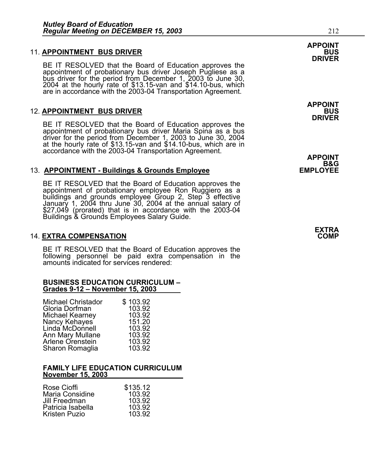#### **11. APPOINTMENT BUS DRIVER**

BE IT RESOLVED that the Board of Education approves the<br>appointment of probationary bus driver Joseph Pugliese as a bus driver for the period from December 1, 2003 to June 30, 2004 at the hourly rate of \$13.15-van and \$14.10-bus, which are in accordance with the 2003-04 Transportation Agreement.

#### **12. APPOINTMENT BUS DRIVER**

BE IT RESOLVED that the Board of Education approves the appointment of probationary bus driver Maria Spina as a bus driver for the period from December 1, 2003 to June 30, 2004 at the hourly rate of \$13.15-van and \$14.10-bus, which are in accordance with the 2003-04 Transportation Agreement. **APPOINT**

#### 13. **APPOINTMENT - Buildings & Grounds Employee**

BE IT RESOLVED that the Board of Education approves the appointment of probationary employee Ron Ruggiero as a buildings and grounds employee Group 2, Step 3 effective January 1, 2004 thru June 30, 2004 at the annual salary of \$27,049 (prorated) that is in accordance with the 2003-04 Buildings & Grounds Employees Salary Guide.

#### **14. EXTRA COMPENSATION**

BE IT RESOLVED that the Board of Education approves the following personnel be paid extra compensation in the amounts indicated for services rendered:

# **BUSINESS EDUCATION CURRICULUM – Grades 9-12 – November 15, 2003**

| <b>Michael Christador</b> | \$103.92 |
|---------------------------|----------|
| Gloria Dorfman            | 103.92   |
| Michael Kearney           | 103.92   |
| Nancy Kehayes             | 151.20   |
| Linda McDonnell           | 103.92   |
| Ann Mary Mullane          | 103.92   |
| Arlene Orenstein          | 103.92   |
| Sharon Romaglia           | 103.92   |
|                           |          |

#### **FAMILY LIFE EDUCATION CURRICULUM November 15, 2003**

| \$135.12<br>103.92<br>103.92<br>103.92 |
|----------------------------------------|
| 103.92                                 |
|                                        |

## **APPOINT DRIVER**

**APPOINT DRIVER** 

B&G<br>EMPLOYEE

**EXTRA**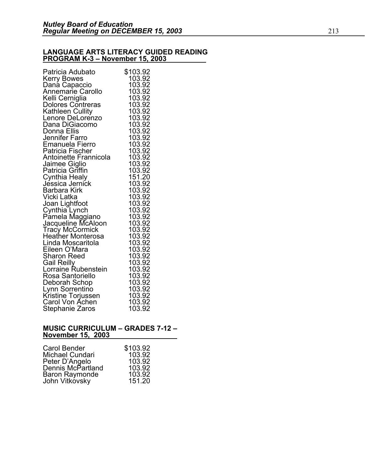#### **LANGUAGE ARTS LITERACY GUIDED READING PROGRAM K-3 – November 15, 2003**

#### **MUSIC CURRICULUM – GRADES 7-12 – November 15, 2003**

| Carol Bender                     | \$103.92 |
|----------------------------------|----------|
| Michael Cundari                  | 103.92   |
| Peter D'Angelo                   | 103.92   |
| Dennis McPartland                | 103.92   |
|                                  | 103.92   |
| Baron Raymonde<br>John Vitkovsky | 151.20   |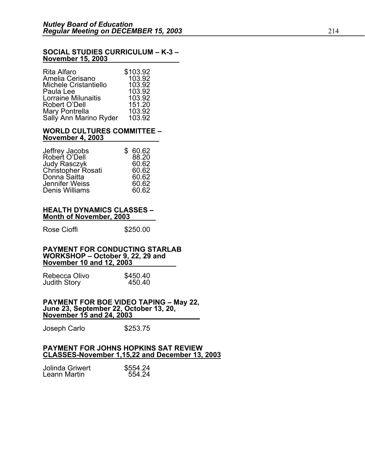#### **SOCIAL STUDIES CURRICULUM – K-3 – November 15, 2003**

| Rita Alfaro            | \$103.92 |
|------------------------|----------|
| Amelia Cerisano        | 103.92   |
| Michele Cristantiello  | 103.92   |
| Paula Lee              | 103.92   |
| Lorraine Milunaitis    | 103.92   |
| Robert O'Dell          | 151.20   |
| Mary Pontrella         | 103.92   |
| Sally Ann Marino Ryder | 103.92   |

#### **WORLD CULTURES COMMITTEE – November 4, 2003**

| Jeffrey Jacobs                     | \$60.62 |
|------------------------------------|---------|
| Robert O'Dell                      | 88.20   |
| Judy Rasczyk<br>Christopher Rosati | 60.62   |
|                                    | 60.62   |
| Donna Saitta                       | 60.62   |
| Jennifer Weiss                     | 60.62   |
| Denis Williams                     | 60.62   |

#### **HEALTH DYNAMICS CLASSES – Month of November, 2003**

Rose Cioffi 5250.00

#### **PAYMENT FOR CONDUCTING STARLAB WORKSHOP – October 9, 22, 29 and November 10 and 12, 2003**

Rebecca Olivo  $$450.40$ <br>Judith Story  $450.40$ Judith Story

## **PAYMENT FOR BOE VIDEO TAPING – May 22, June 23, September 22, October 13, 20, November 15 and 24, 2003**

Joseph Carlo \$253.75

#### **PAYMENT FOR JOHNS HOPKINS SAT REVIEW CLASSES-November 1,15,22 and December 13, 2003**

| Jolinda Griwert | \$554.24 |
|-----------------|----------|
| Leann Martin    | 554.24   |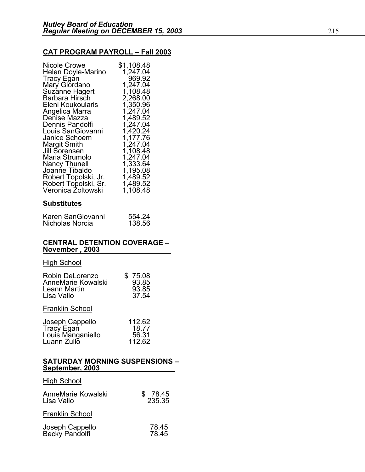#### **CAT PROGRAM PAYROLL – Fall 2003**

| Nicole Crowe<br>Helen Doyle-Marino           | \$1,108.48<br>1,247.04 |
|----------------------------------------------|------------------------|
| <b>Tracy Egan</b><br>Mary Giordano           | 969.92<br>1,247.04     |
| Suzanne Hagert                               | 1,108.48               |
| Barbara Hirsch                               | 2,268.00               |
| Eleni Koukoularis                            | 1,350.96               |
| Angelica Marra                               | 1,247.04               |
| Denise Mazza                                 | 1,489.52               |
| Dennis Pandolfi                              | 1,247.04               |
| Louis SanGiovanni                            | 1,420.24               |
| Janice Schoem                                | 1,177.76               |
| Margit Smith                                 | 1,247.04               |
| Jill Sorensen                                | 1,108.48               |
| Maria Strumolo                               | 1,247.04               |
| <b>Nancy Thunell</b>                         | 1,333.64               |
| Joanne Tibaldo                               | 1,195.08<br>1,489.52   |
| Robert Topolski, Jr.<br>Robert Topolski, Sr. | 1,489.52               |
| Veronica Zoltowski                           | 1,108.48               |
|                                              |                        |

#### **Substitutes**

| Karen SanGiovanni | 554.24 |
|-------------------|--------|
| Nicholas Norcia   | 138.56 |

#### **CENTRAL DETENTION COVERAGE – November , 2003**

#### **High School**

| Robin DeLorenzo<br>AnneMarie Kowalski<br>Leann Martin<br>Lisa Vallo | 75.08<br>93.85<br>93.85<br>37.54   |
|---------------------------------------------------------------------|------------------------------------|
| <b>Franklin School</b>                                              |                                    |
| Joseph Cappello<br>Tracy Egan<br>Louis Manganiello<br>Luann Zullo   | 112.62<br>18.77<br>56.31<br>112.62 |

#### **SATURDAY MORNING SUSPENSIONS – September, 2003**

| <b>High School</b>                |                        |
|-----------------------------------|------------------------|
| AnneMarie Kowalski<br>Lisa Vallo  | 78.45<br>\$.<br>235.35 |
| <b>Franklin School</b>            |                        |
| Joseph Cappello<br>Becky Pandolfi | 78.45<br>78 45         |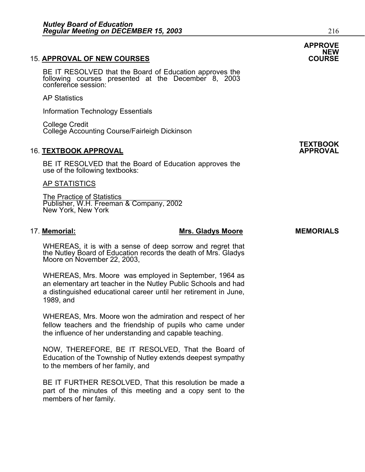#### 15. **APPROVAL OF NEW COURSES COURSE**

BE IT RESOLVED that the Board of Education approves the following courses presented at the December 8, 2003 conference session:

AP Statistics

Information Technology Essentials

College Credit College Accounting Course/Fairleigh Dickinson

#### **16. TEXTBOOK APPROVAL**

BE IT RESOLVED that the Board of Education approves the use of the following textbooks:

#### AP STATISTICS

The Practice of Statistics Publisher, W.H. Freeman & Company, 2002 New York, New York

#### 17. Memorial: **Mrs. Gladys Moore** MEMORIALS

WHEREAS, it is with a sense of deep sorrow and regret that the Nutley Board of Education records the death of Mrs. Gladys Moore on November 22, 2003,

WHEREAS, Mrs. Moore was employed in September, 1964 as an elementary art teacher in the Nutley Public Schools and had a distinguished educational career until her retirement in June, 1989, and

WHEREAS, Mrs. Moore won the admiration and respect of her fellow teachers and the friendship of pupils who came under the influence of her understanding and capable teaching.

NOW, THEREFORE, BE IT RESOLVED, That the Board of Education of the Township of Nutley extends deepest sympathy to the members of her family, and

BE IT FURTHER RESOLVED, That this resolution be made a part of the minutes of this meeting and a copy sent to the members of her family.



**TEXTBOOK**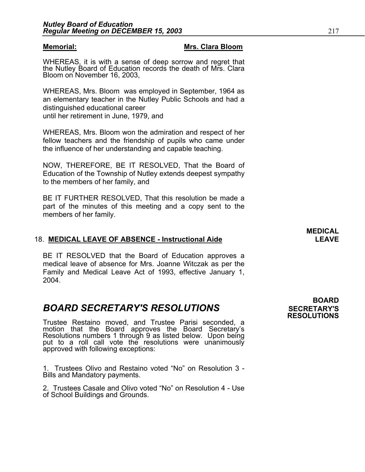#### **Memorial: Mrs. Clara Bloom**

WHEREAS, it is with a sense of deep sorrow and regret that the Nutley Board of Education records the death of Mrs. Clara Bloom on November 16, 2003,

WHEREAS, Mrs. Bloom was employed in September, 1964 as an elementary teacher in the Nutley Public Schools and had a distinguished educational career until her retirement in June, 1979, and

WHEREAS, Mrs. Bloom won the admiration and respect of her fellow teachers and the friendship of pupils who came under the influence of her understanding and capable teaching.

NOW, THEREFORE, BE IT RESOLVED, That the Board of Education of the Township of Nutley extends deepest sympathy to the members of her family, and

BE IT FURTHER RESOLVED, That this resolution be made a part of the minutes of this meeting and a copy sent to the members of her family.

#### 18. **MEDICAL LEAVE OF ABSENCE - Instructional Aide LEAVE**

BE IT RESOLVED that the Board of Education approves a medical leave of absence for Mrs. Joanne Witczak as per the Family and Medical Leave Act of 1993, effective January 1, 2004.

## **BOARD SECRETARY'S RESOLUTIONS** SECRETARY'S

Trustee Restaino moved, and Trustee Parisi seconded, a motion that the Board approves the Board Secretary's Resolutions numbers 1 through 9 as listed below. Upon being put to a roll call vote the resolutions were unanimously approved with following exceptions:

1. Trustees Olivo and Restaino voted "No" on Resolution 3 - Bills and Mandatory payments.

2. Trustees Casale and Olivo voted "No" on Resolution 4 - Use of School Buildings and Grounds.

 **BOARD RESOLUTIONS** 

**MEDICAL**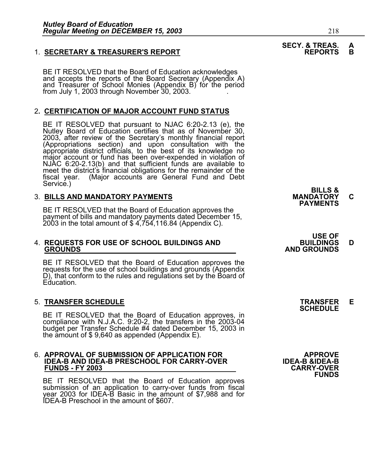#### 1. **SECRETARY & TREASURER'S REPORT**

BE IT RESOLVED that the Board of Education acknowledges and accepts the reports of the Board Secretary (Appendix A) and Treasurer of School Monies (Appendix B) for the period from July 1, 2003 through November 30, 2003.

#### 2**. CERTIFICATION OF MAJOR ACCOUNT FUND STATUS**

BE IT RESOLVED that pursuant to NJAC 6:20-2.13 (e), the Nutley Board of Education certifies that as of November 30, 2003, after review of the Secretary's monthly financial report<br>(Appropriations section) and upon consultation with the<br>appropriate district officials, to the best of its knowledge no<br>major account or fund has been over-exp meet the district's financial obligations for the remainder of the fiscal year. (Major accounts are General Fund and Debt fiscal year. (Major accounts are General Fund and Debt<br>Service.) Service.) **BILLS &** 

3. BILLS AND MANDATORY PAYMENTS<br>BE IT RESOLVED that the Board of Education approves the **PAYMENTS** payment of bills and mandatory payments dated December 15, 2003 in the total amount of \$ 4,754,116.84 (Appendix C).

# 4. **REQUESTS FOR USE OF SCHOOL BUILDINGS AND BUILDINGS D GROUNDS AND GROUNDS**

BE IT RESOLVED that the Board of Education approves the requests for the use of school buildings and grounds (Appendix D), that conform to the rules and regulations set by the Board of Education.

5. **TRANSFER SCHEDULE**<br>BE IT RESOLVED that the Board of Education approves, in **SCHEDULE**<br>BE IT RESOLVED that the Board of Education approves, in BE IT RESOLVED that the Board of Education approves, in compliance with N.J.A.C. 9:20-2, the transfers in the 2003-04 budget per Transfer Schedule #4 dated December 15, 2003 in<br>the amount of \$ 9,640 as appended (Appendix E).

## 6. **APPROVAL OF SUBMISSION OF APPLICATION FOR APPROVE IDEA-B AND IDEA-B PRESCHOOL FOR CARRY-OVER IDEA-B &IDEA-B FUNDS - FY 2003 CARRY-OVER**

BE IT RESOLVED that the Board of Education approves submission of an application to carry-over funds from fiscal year 2003 for IDEA-B Basic in the amount of \$7,988 and for IDEA-B Preschool in the amount of \$607.

# **USE OF**

**FUNDS** 

# **SECY. & TREAS. A**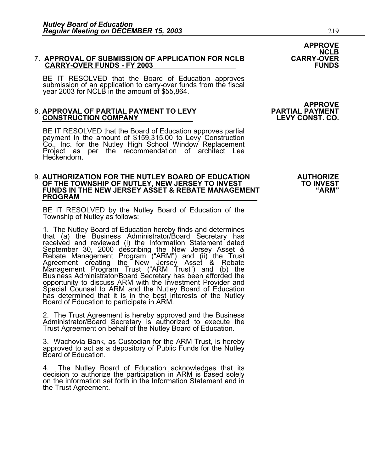### **APPROVE NCLB**  7. **APPROVAL OF SUBMISSION OF APPLICATION FOR NCLB CARRY-OVER CARRY-OVER FUNDS - FY 2003**

BE IT RESOLVED that the Board of Education approves submission of an application to carry-over funds from the fiscal year 2003 for NCLB in the amount of \$55,864.

# 8. **APPROVAL OF PARTIAL PAYMENT TO LEVY PARTIAL PAYMENT CONSTRUCTION COMPANY LEVY CONST. CO.**

BE IT RESOLVED that the Board of Education approves partial payment in the amount of \$159,315.00 to Levy Construction Co., Inc. for the Nutley High School Window Replacement<br>Project as per the recommendation of architect Lee Heckendorn.

### 9. **AUTHORIZATION FOR THE NUTLEY BOARD OF EDUCATION AUTHORIZE**  OF THE TOWNSHIP OF NUTLEY, NEW JERSEY TO INVEST **TO INVEST** FUNDS IN THE NEW JERSEY ASSET & REBATE MANAGEMENT "ARM" "ARM"<br><u>PROGRAM</u>

BE IT RESOLVED by the Nutley Board of Education of the Township of Nutley as follows:

1. The Nutley Board of Education hereby finds and determines that (a) the Business Administrator/Board Secretary has received and reviewed (i) the Information Statement dated September 30, 2000 describing the New Jersey Asset &<br>Rebate Management Program ("ARM") and (ii) the Trust<br>Agreement creating the New Jersey Asset & Rebate<br>Management Program Trust ("ARM Trust") and (b) the Business Administrator/Board Secretary has been afforded the<br>opportunity to discuss ARM with the Investment Provider and Special Counsel to ARM and the Nutley Board of Education has determined that it is in the best interests of the Nutley Board of Education to participate in ARM.

2. The Trust Agreement is hereby approved and the Business Administrator/Board Secretary is authorized to execute the Trust Agreement on behalf of the Nutley Board of Education.

3. Wachovia Bank, as Custodian for the ARM Trust, is hereby approved to act as a depository of Public Funds for the Nutley Board of Education.

4. The Nutley Board of Education acknowledges that its decision to authorize the participation in ARM is based solely on the information set forth in the Information Statement and in the Trust Agreement.

# **APPROVE**<br>PARTIAL PAYMENT